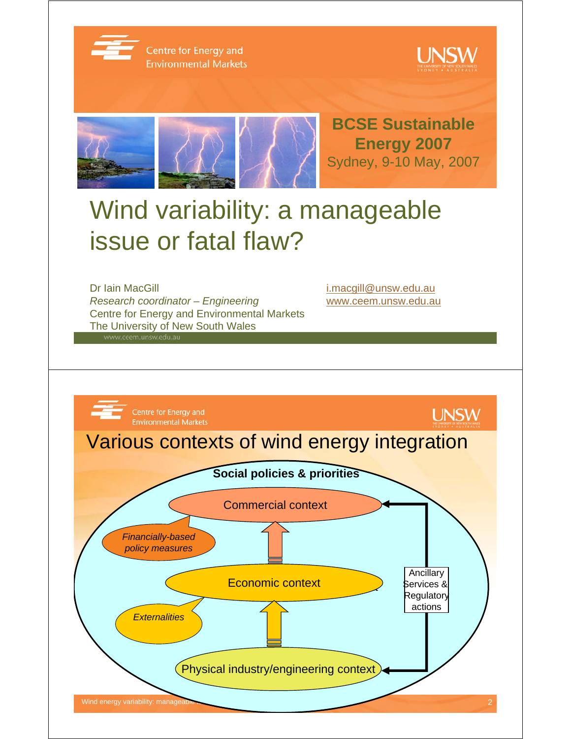

Centre for Energy and **Environmental Markets** 





# Wind variability: a manageable issue or fatal flaw?

Dr Iain MacGill in the control of the control of the i.macgill@unsw.edu.au *Research coordinator – Engineering* www.ceem.unsw.edu.au Centre for Energy and Environmental Markets The University of New South Wales

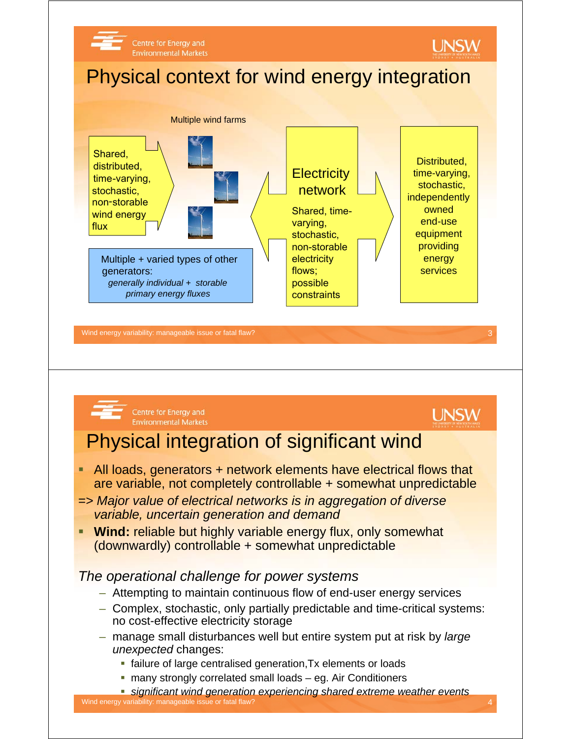



Centre for Energy and **Environmental Markets** 



## Physical integration of significant wind

- **All loads, generators + network elements have electrical flows that** are variable, not completely controllable + somewhat unpredictable
- *=> Major value of electrical networks is in aggregation of diverse variable, uncertain generation and demand*
- **Wind:** reliable but highly variable energy flux, only somewhat (downwardly) controllable + somewhat unpredictable

#### *The operational challenge for power systems*

- Attempting to maintain continuous flow of end-user energy services
- Complex, stochastic, only partially predictable and time-critical systems: no cost-effective electricity storage
- manage small disturbances well but entire system put at risk by *large unexpected* changes:
	- failure of large centralised generation,Tx elements or loads
	- many strongly correlated small loads eg. Air Conditioners

Wind energy variability: manageable issue or fatal flaw? 4 *significant wind generation experiencing shared extreme weather events*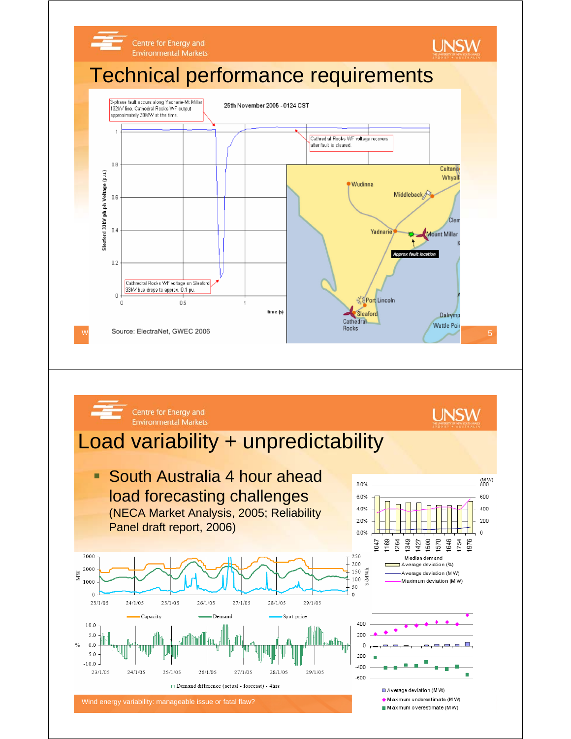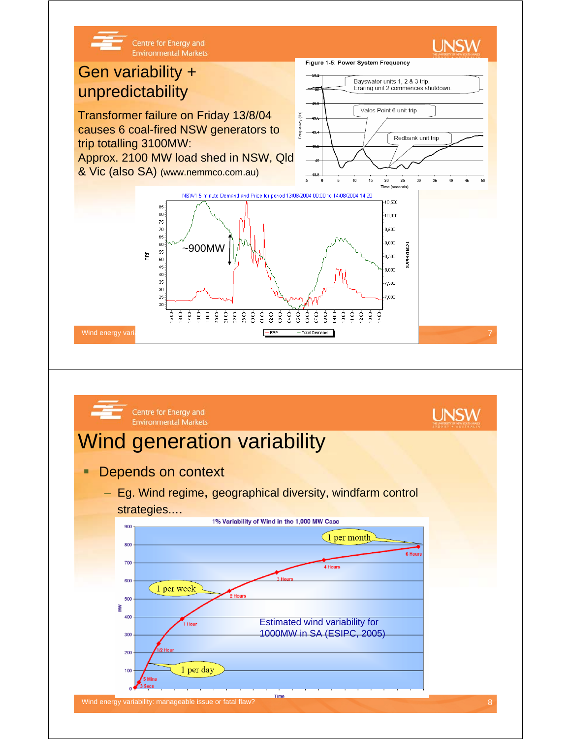

Estimated wind variability for 1000MW in SA (ESIPC, 2005)

1 per day

400 300 200

> 100 ٥٩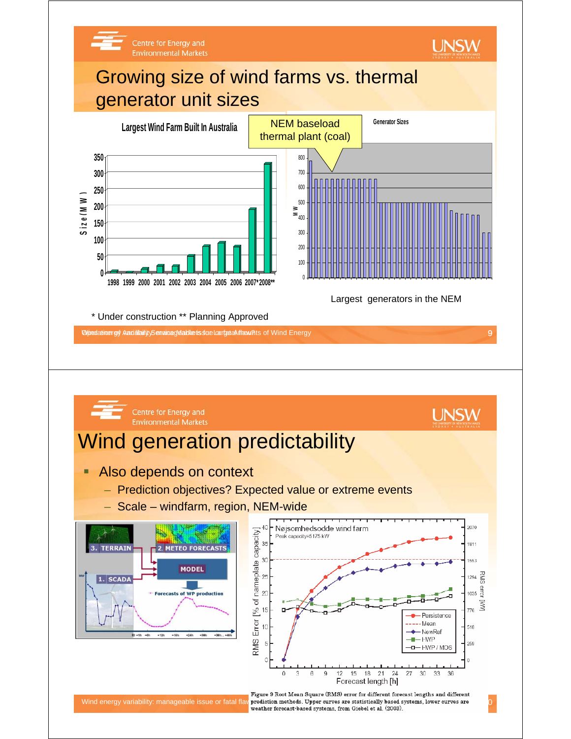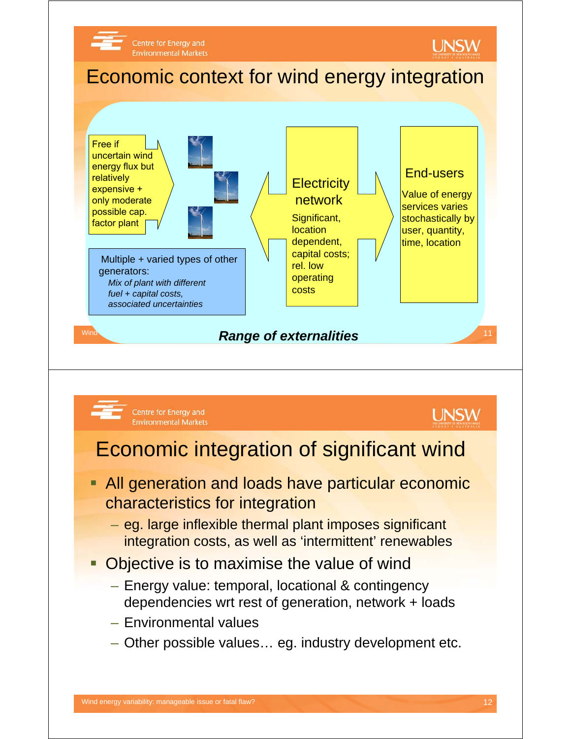

- Environmental values
- Other possible values… eg. industry development etc.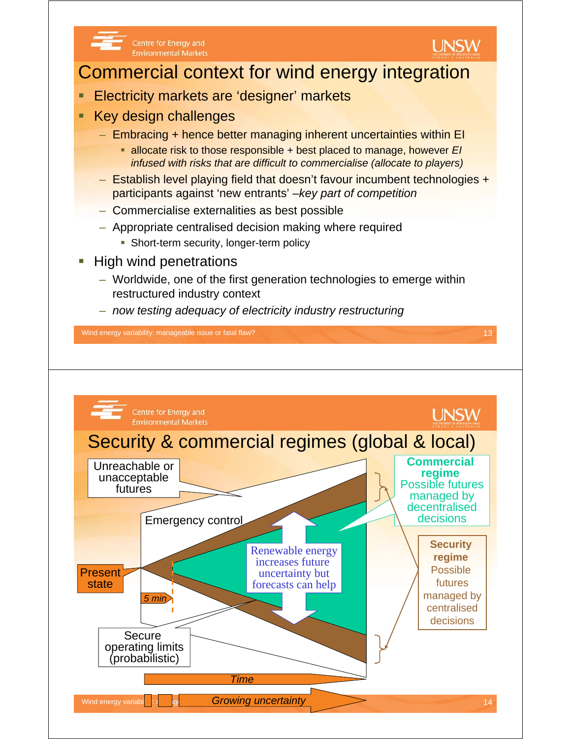

Centre for Energy and **Environmental Markets** 



### Commercial context for wind energy integration

- Electricity markets are 'designer' markets
- Key design challenges
	- Embracing + hence better managing inherent uncertainties within EI
		- allocate risk to those responsible + best placed to manage, however *EI infused with risks that are difficult to commercialise (allocate to players)*
	- Establish level playing field that doesn't favour incumbent technologies + participants against 'new entrants' –*key part of competition*
	- Commercialise externalities as best possible
	- Appropriate centralised decision making where required
		- **Short-term security, longer-term policy**
- High wind penetrations
	- Worldwide, one of the first generation technologies to emerge within restructured industry context
	- *now testing adequacy of electricity industry restructuring*

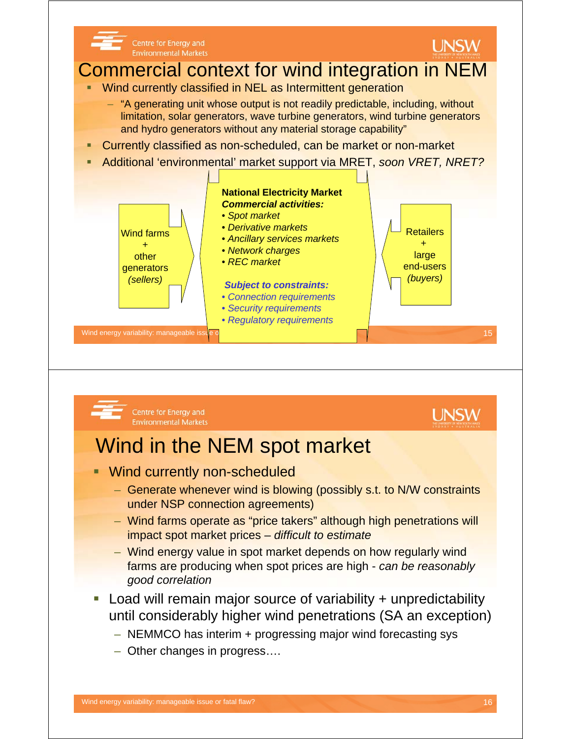

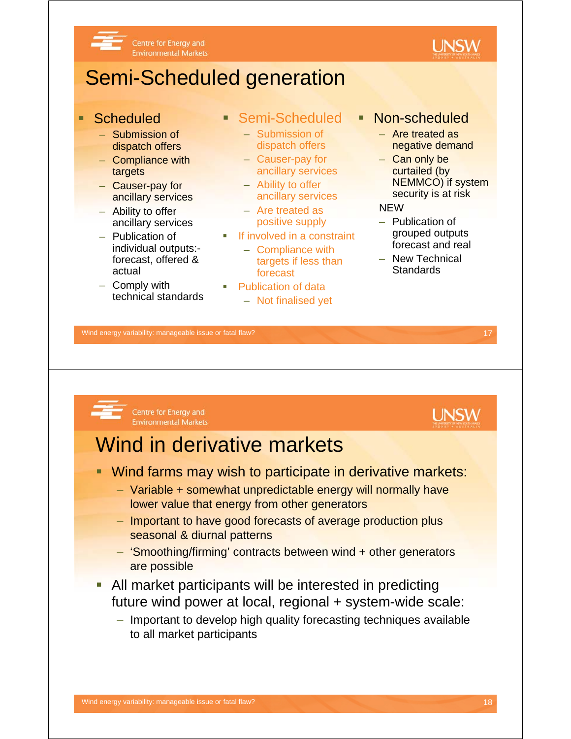

# Semi-Scheduled generation

- **Scheduled** 
	- Submission of dispatch offers
	- Compliance with targets
	- Causer-pay for ancillary services
	- Ability to offer ancillary services
	- Publication of individual outputs: forecast, offered & actual
	- Comply with technical standards
- Semi-Scheduled
	- Submission of dispatch offers
	- Causer-pay for ancillary services
	- Ability to offer ancillary services
	- Are treated as positive supply
- **If involved in a constraint** 
	- Compliance with targets if less than forecast
- **Publication of data** 
	- Not finalised yet
- Non-scheduled
	- Are treated as negative demand
	- Can only be curtailed (by NEMMCO) if system security is at risk

**UNSW** 

#### **NEW**

- Publication of grouped outputs forecast and real
- New Technical **Standards**

Wind energy variability: manageable issue or fatal flaw? 17

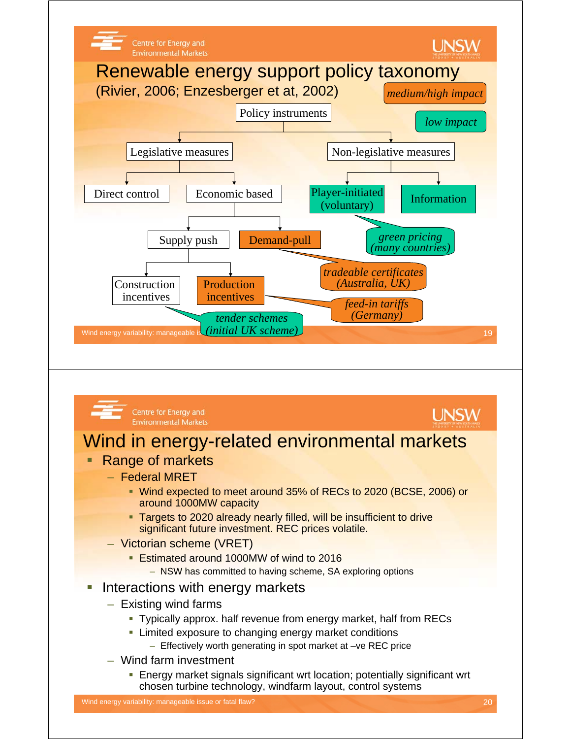

- NSW has committed to having scheme, SA exploring options
- **Interactions with energy markets** 
	- Existing wind farms
		- Typically approx. half revenue from energy market, half from RECs
		- **EXTERG** Exposure to changing energy market conditions
			- Effectively worth generating in spot market at –ve REC price
	- Wind farm investment
		- Energy market signals significant wrt location; potentially significant wrt chosen turbine technology, windfarm layout, control systems